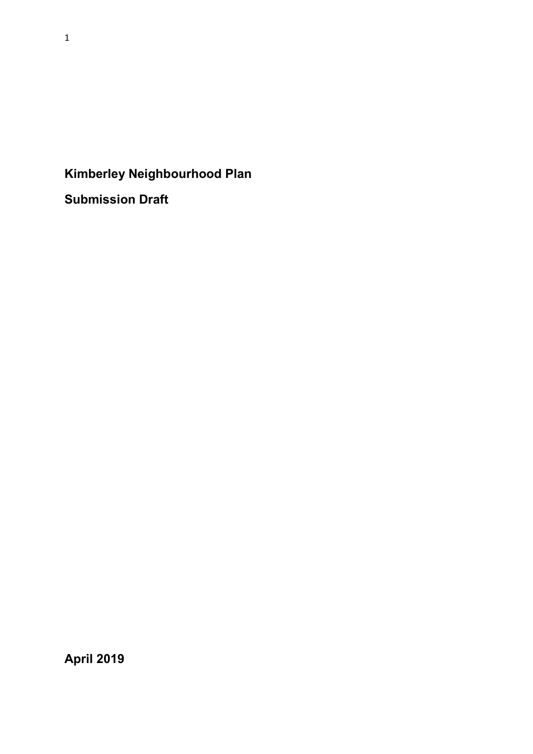# Kimberley Neighbourhood Plan

Submission Draft

April 2019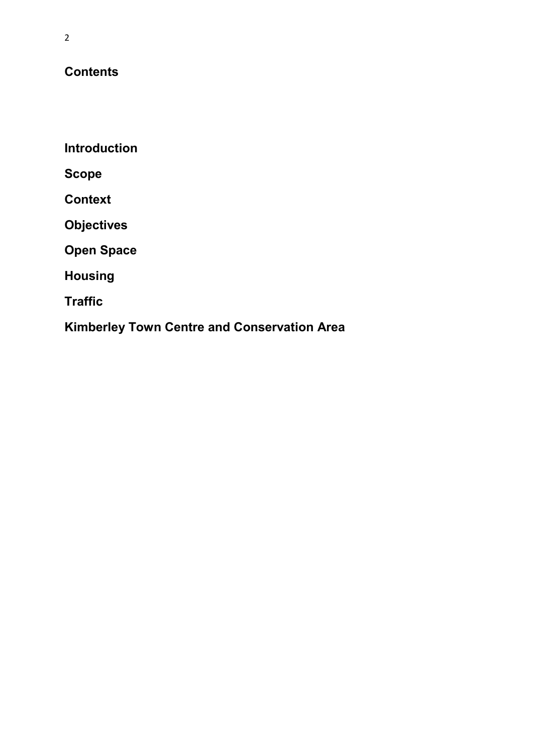## **Contents**

**Introduction** 

Scope

**Context** 

**Objectives** 

Open Space

Housing

**Traffic** 

Kimberley Town Centre and Conservation Area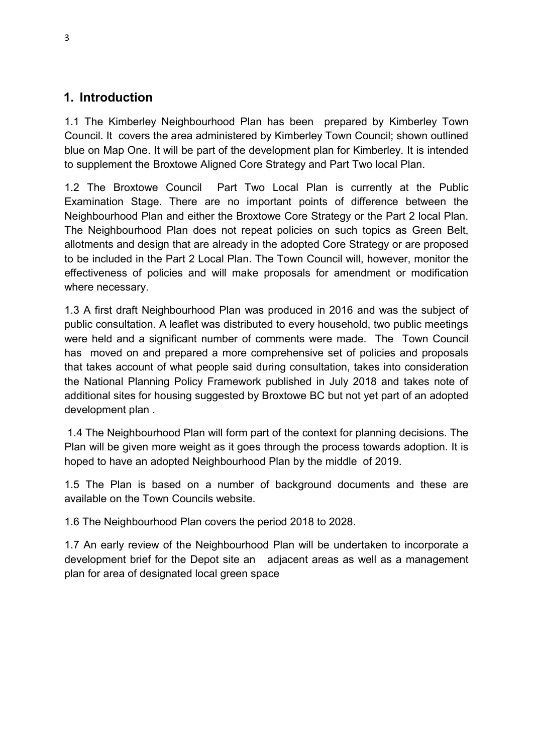## 1. Introduction

1.1 The Kimberley Neighbourhood Plan has been prepared by Kimberley Town Council. It covers the area administered by Kimberley Town Council; shown outlined blue on Map One. It will be part of the development plan for Kimberley. It is intended to supplement the Broxtowe Aligned Core Strategy and Part Two local Plan.

1.2 The Broxtowe Council Part Two Local Plan is currently at the Public Examination Stage. There are no important points of difference between the Neighbourhood Plan and either the Broxtowe Core Strategy or the Part 2 local Plan. The Neighbourhood Plan does not repeat policies on such topics as Green Belt, allotments and design that are already in the adopted Core Strategy or are proposed to be included in the Part 2 Local Plan. The Town Council will, however, monitor the effectiveness of policies and will make proposals for amendment or modification where necessary.

1.3 A first draft Neighbourhood Plan was produced in 2016 and was the subject of public consultation. A leaflet was distributed to every household, two public meetings were held and a significant number of comments were made. The Town Council has moved on and prepared a more comprehensive set of policies and proposals that takes account of what people said during consultation, takes into consideration the National Planning Policy Framework published in July 2018 and takes note of additional sites for housing suggested by Broxtowe BC but not yet part of an adopted development plan .

 1.4 The Neighbourhood Plan will form part of the context for planning decisions. The Plan will be given more weight as it goes through the process towards adoption. It is hoped to have an adopted Neighbourhood Plan by the middle of 2019.

1.5 The Plan is based on a number of background documents and these are available on the Town Councils website.

1.6 The Neighbourhood Plan covers the period 2018 to 2028.

1.7 An early review of the Neighbourhood Plan will be undertaken to incorporate a development brief for the Depot site an adjacent areas as well as a management plan for area of designated local green space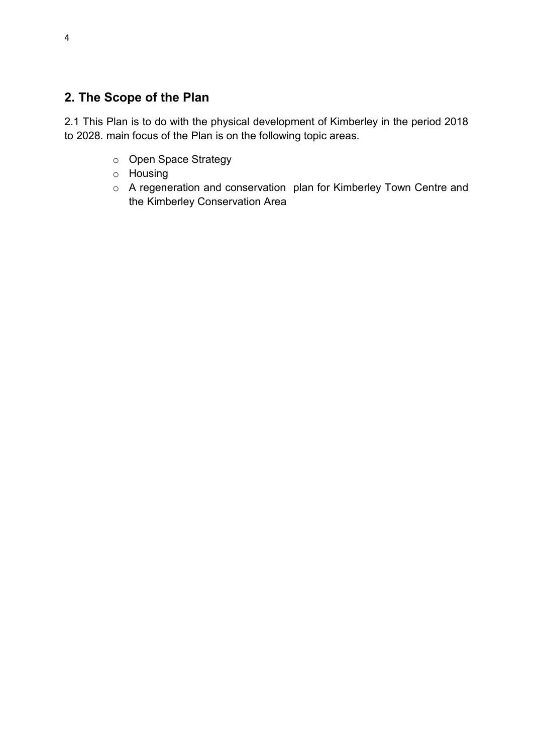## 2. The Scope of the Plan

2.1 This Plan is to do with the physical development of Kimberley in the period 2018 to 2028. main focus of the Plan is on the following topic areas.

- o Open Space Strategy
- o Housing
- o A regeneration and conservation plan for Kimberley Town Centre and the Kimberley Conservation Area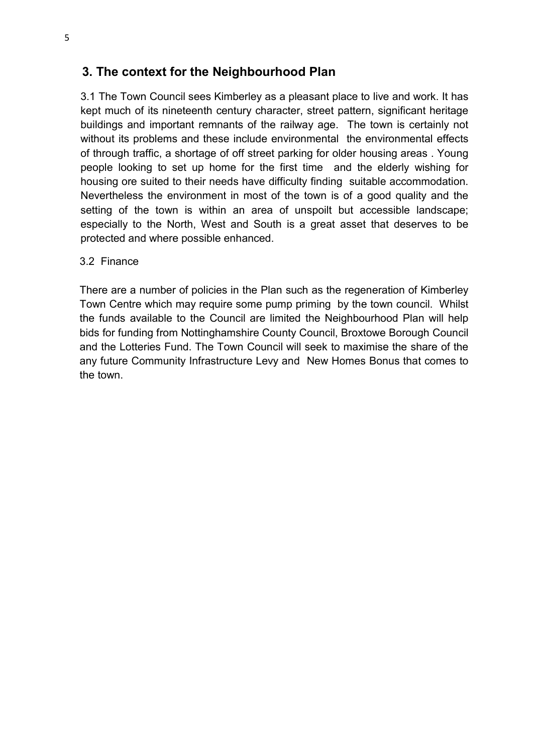## 3. The context for the Neighbourhood Plan

3.1 The Town Council sees Kimberley as a pleasant place to live and work. It has kept much of its nineteenth century character, street pattern, significant heritage buildings and important remnants of the railway age. The town is certainly not without its problems and these include environmental the environmental effects of through traffic, a shortage of off street parking for older housing areas . Young people looking to set up home for the first time and the elderly wishing for housing ore suited to their needs have difficulty finding suitable accommodation. Nevertheless the environment in most of the town is of a good quality and the setting of the town is within an area of unspoilt but accessible landscape; especially to the North, West and South is a great asset that deserves to be protected and where possible enhanced.

#### 3.2 Finance

There are a number of policies in the Plan such as the regeneration of Kimberley Town Centre which may require some pump priming by the town council. Whilst the funds available to the Council are limited the Neighbourhood Plan will help bids for funding from Nottinghamshire County Council, Broxtowe Borough Council and the Lotteries Fund. The Town Council will seek to maximise the share of the any future Community Infrastructure Levy and New Homes Bonus that comes to the town.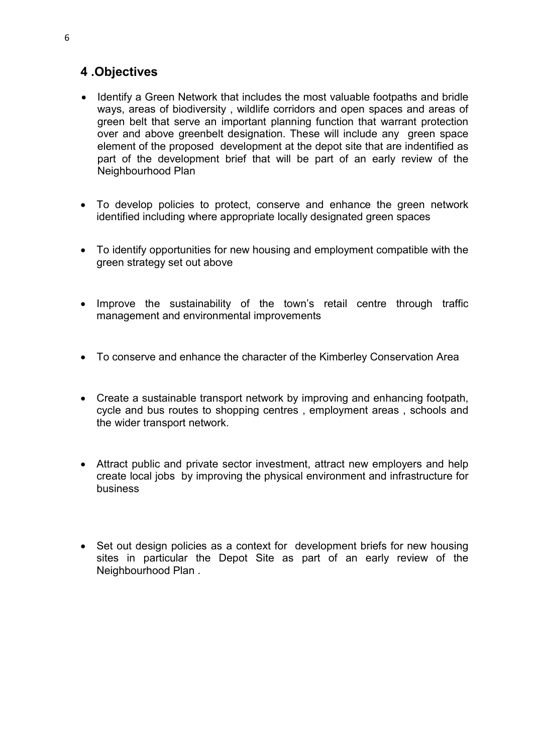## 4 .Objectives

- Identify a Green Network that includes the most valuable footpaths and bridle ways, areas of biodiversity , wildlife corridors and open spaces and areas of green belt that serve an important planning function that warrant protection over and above greenbelt designation. These will include any green space element of the proposed development at the depot site that are indentified as part of the development brief that will be part of an early review of the Neighbourhood Plan
- To develop policies to protect, conserve and enhance the green network identified including where appropriate locally designated green spaces
- To identify opportunities for new housing and employment compatible with the green strategy set out above
- Improve the sustainability of the town's retail centre through traffic management and environmental improvements
- To conserve and enhance the character of the Kimberley Conservation Area
- Create a sustainable transport network by improving and enhancing footpath, cycle and bus routes to shopping centres , employment areas , schools and the wider transport network.
- Attract public and private sector investment, attract new employers and help create local jobs by improving the physical environment and infrastructure for business
- Set out design policies as a context for development briefs for new housing sites in particular the Depot Site as part of an early review of the Neighbourhood Plan .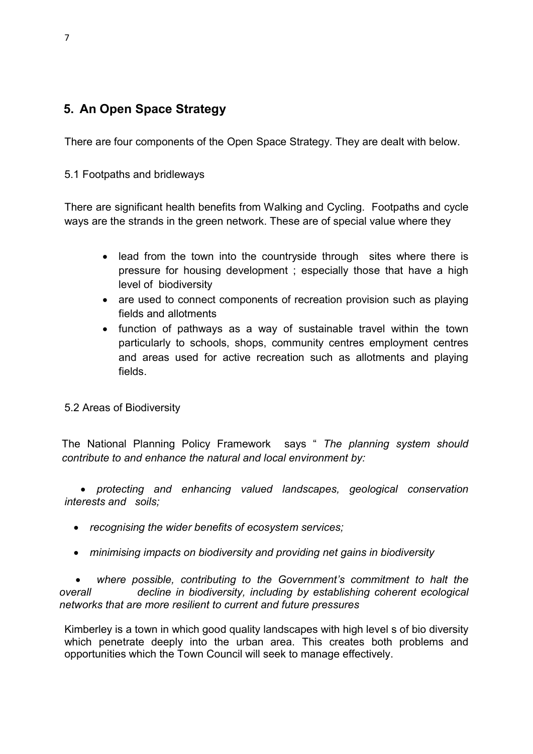## 5. An Open Space Strategy

There are four components of the Open Space Strategy. They are dealt with below.

### 5.1 Footpaths and bridleways

There are significant health benefits from Walking and Cycling. Footpaths and cycle ways are the strands in the green network. These are of special value where they

- lead from the town into the countryside through sites where there is pressure for housing development ; especially those that have a high level of biodiversity
- are used to connect components of recreation provision such as playing fields and allotments
- function of pathways as a way of sustainable travel within the town particularly to schools, shops, community centres employment centres and areas used for active recreation such as allotments and playing fields.

5.2 Areas of Biodiversity

The National Planning Policy Framework says " The planning system should contribute to and enhance the natural and local environment by:

 protecting and enhancing valued landscapes, geological conservation interests and soils;

- recognising the wider benefits of ecosystem services;
- minimising impacts on biodiversity and providing net gains in biodiversity

 where possible, contributing to the Government's commitment to halt the overall decline in biodiversity, including by establishing coherent ecological networks that are more resilient to current and future pressures

Kimberley is a town in which good quality landscapes with high level s of bio diversity which penetrate deeply into the urban area. This creates both problems and opportunities which the Town Council will seek to manage effectively.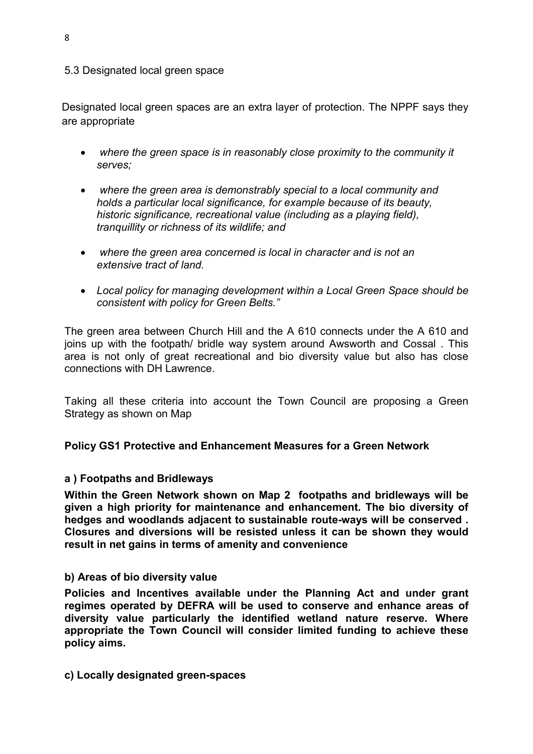#### 5.3 Designated local green space

Designated local green spaces are an extra layer of protection. The NPPF says they are appropriate

- where the green space is in reasonably close proximity to the community it serves;
- where the green area is demonstrably special to a local community and holds a particular local significance, for example because of its beauty, historic significance, recreational value (including as a playing field), tranquillity or richness of its wildlife; and
- where the green area concerned is local in character and is not an extensive tract of land.
- Local policy for managing development within a Local Green Space should be consistent with policy for Green Belts."

The green area between Church Hill and the A 610 connects under the A 610 and joins up with the footpath/ bridle way system around Awsworth and Cossal . This area is not only of great recreational and bio diversity value but also has close connections with DH Lawrence.

Taking all these criteria into account the Town Council are proposing a Green Strategy as shown on Map

Policy GS1 Protective and Enhancement Measures for a Green Network

#### a ) Footpaths and Bridleways

Within the Green Network shown on Map 2 footpaths and bridleways will be given a high priority for maintenance and enhancement. The bio diversity of hedges and woodlands adjacent to sustainable route-ways will be conserved . Closures and diversions will be resisted unless it can be shown they would result in net gains in terms of amenity and convenience

#### b) Areas of bio diversity value

Policies and Incentives available under the Planning Act and under grant regimes operated by DEFRA will be used to conserve and enhance areas of diversity value particularly the identified wetland nature reserve. Where appropriate the Town Council will consider limited funding to achieve these policy aims.

c) Locally designated green-spaces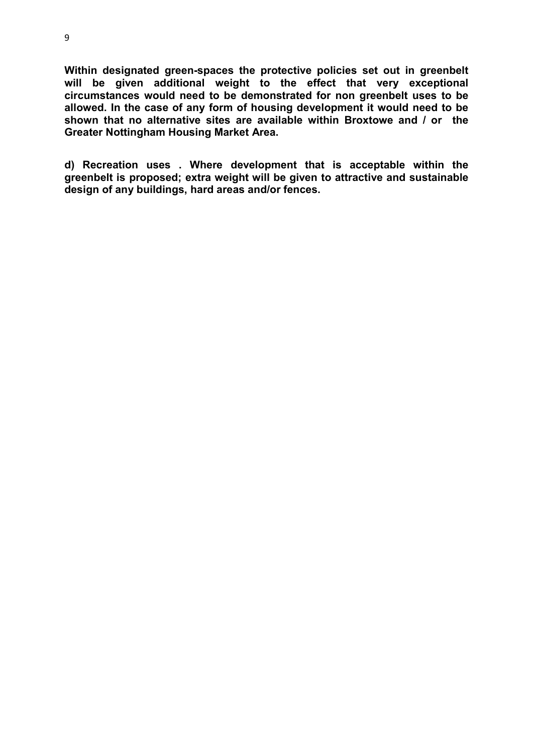Within designated green-spaces the protective policies set out in greenbelt will be given additional weight to the effect that very exceptional circumstances would need to be demonstrated for non greenbelt uses to be allowed. In the case of any form of housing development it would need to be shown that no alternative sites are available within Broxtowe and / or the Greater Nottingham Housing Market Area.

d) Recreation uses . Where development that is acceptable within the greenbelt is proposed; extra weight will be given to attractive and sustainable design of any buildings, hard areas and/or fences.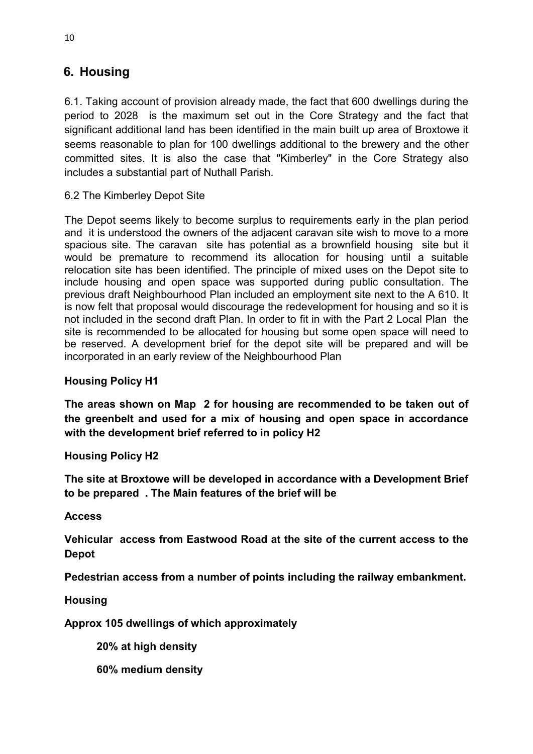## 6. Housing

6.1. Taking account of provision already made, the fact that 600 dwellings during the period to 2028 is the maximum set out in the Core Strategy and the fact that significant additional land has been identified in the main built up area of Broxtowe it seems reasonable to plan for 100 dwellings additional to the brewery and the other committed sites. It is also the case that "Kimberley" in the Core Strategy also includes a substantial part of Nuthall Parish.

6.2 The Kimberley Depot Site

The Depot seems likely to become surplus to requirements early in the plan period and it is understood the owners of the adjacent caravan site wish to move to a more spacious site. The caravan site has potential as a brownfield housing site but it would be premature to recommend its allocation for housing until a suitable relocation site has been identified. The principle of mixed uses on the Depot site to include housing and open space was supported during public consultation. The previous draft Neighbourhood Plan included an employment site next to the A 610. It is now felt that proposal would discourage the redevelopment for housing and so it is not included in the second draft Plan. In order to fit in with the Part 2 Local Plan the site is recommended to be allocated for housing but some open space will need to be reserved. A development brief for the depot site will be prepared and will be incorporated in an early review of the Neighbourhood Plan

### Housing Policy H1

The areas shown on Map 2 for housing are recommended to be taken out of the greenbelt and used for a mix of housing and open space in accordance with the development brief referred to in policy H2

### Housing Policy H2

The site at Broxtowe will be developed in accordance with a Development Brief to be prepared . The Main features of the brief will be

Access

Vehicular access from Eastwood Road at the site of the current access to the Depot

Pedestrian access from a number of points including the railway embankment.

**Housing** 

Approx 105 dwellings of which approximately

20% at high density

60% medium density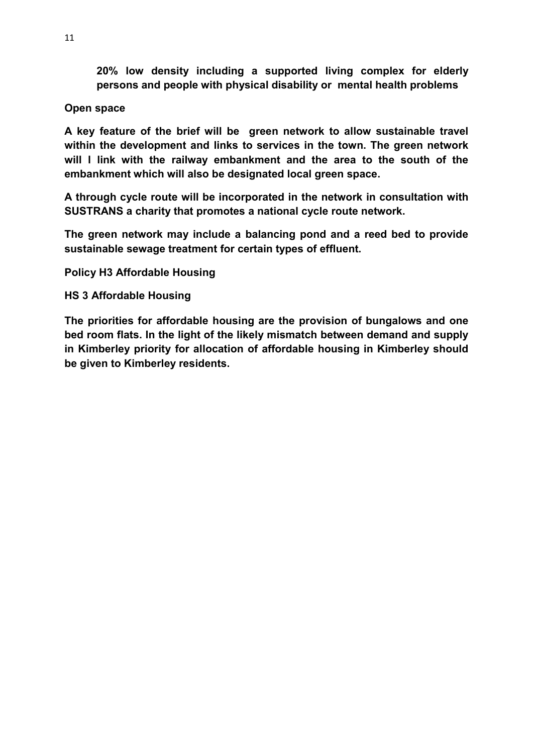20% low density including a supported living complex for elderly persons and people with physical disability or mental health problems

### Open space

A key feature of the brief will be green network to allow sustainable travel within the development and links to services in the town. The green network will I link with the railway embankment and the area to the south of the embankment which will also be designated local green space.

A through cycle route will be incorporated in the network in consultation with SUSTRANS a charity that promotes a national cycle route network.

The green network may include a balancing pond and a reed bed to provide sustainable sewage treatment for certain types of effluent.

Policy H3 Affordable Housing

### HS 3 Affordable Housing

The priorities for affordable housing are the provision of bungalows and one bed room flats. In the light of the likely mismatch between demand and supply in Kimberley priority for allocation of affordable housing in Kimberley should be given to Kimberley residents.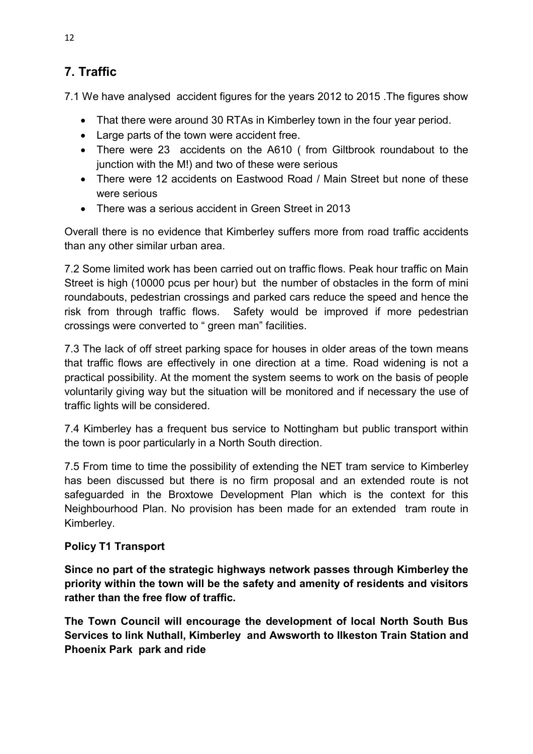## 7. Traffic

7.1 We have analysed accident figures for the years 2012 to 2015 .The figures show

- That there were around 30 RTAs in Kimberley town in the four year period.
- Large parts of the town were accident free.
- There were 23 accidents on the A610 ( from Giltbrook roundabout to the junction with the M!) and two of these were serious
- There were 12 accidents on Eastwood Road / Main Street but none of these were serious
- There was a serious accident in Green Street in 2013

Overall there is no evidence that Kimberley suffers more from road traffic accidents than any other similar urban area.

7.2 Some limited work has been carried out on traffic flows. Peak hour traffic on Main Street is high (10000 pcus per hour) but the number of obstacles in the form of mini roundabouts, pedestrian crossings and parked cars reduce the speed and hence the risk from through traffic flows. Safety would be improved if more pedestrian crossings were converted to " green man" facilities.

7.3 The lack of off street parking space for houses in older areas of the town means that traffic flows are effectively in one direction at a time. Road widening is not a practical possibility. At the moment the system seems to work on the basis of people voluntarily giving way but the situation will be monitored and if necessary the use of traffic lights will be considered.

7.4 Kimberley has a frequent bus service to Nottingham but public transport within the town is poor particularly in a North South direction.

7.5 From time to time the possibility of extending the NET tram service to Kimberley has been discussed but there is no firm proposal and an extended route is not safeguarded in the Broxtowe Development Plan which is the context for this Neighbourhood Plan. No provision has been made for an extended tram route in Kimberley.

### Policy T1 Transport

Since no part of the strategic highways network passes through Kimberley the priority within the town will be the safety and amenity of residents and visitors rather than the free flow of traffic.

The Town Council will encourage the development of local North South Bus Services to link Nuthall, Kimberley and Awsworth to Ilkeston Train Station and Phoenix Park park and ride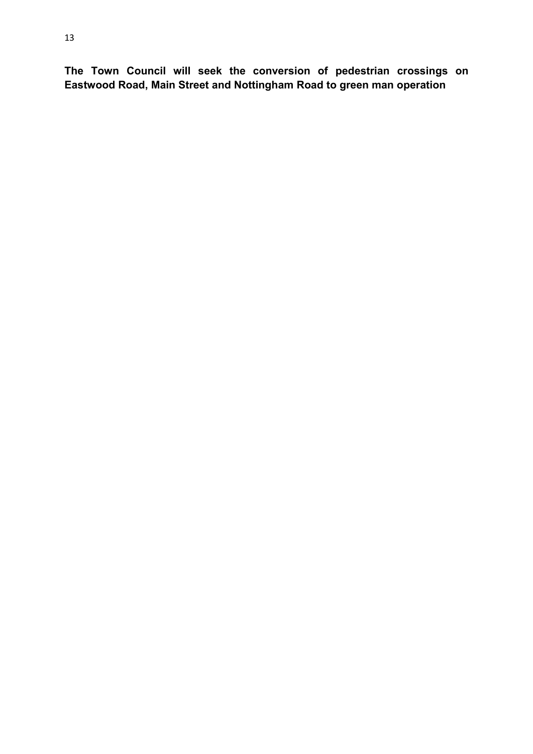The Town Council will seek the conversion of pedestrian crossings on Eastwood Road, Main Street and Nottingham Road to green man operation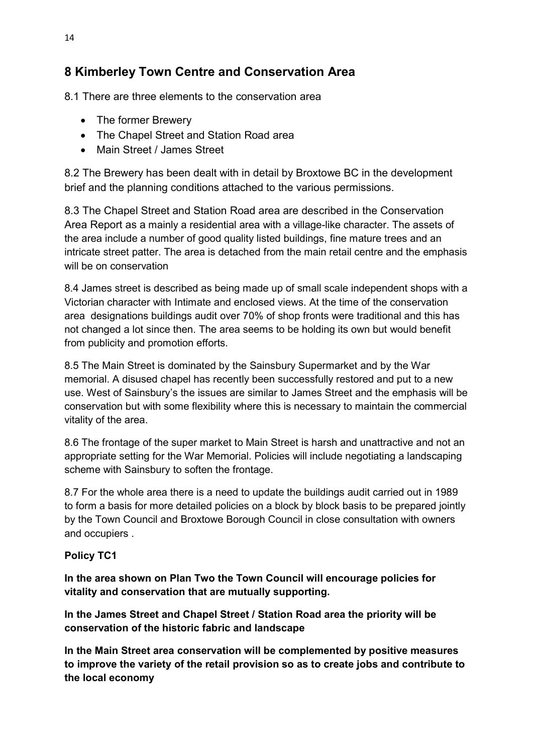## 8 Kimberley Town Centre and Conservation Area

8.1 There are three elements to the conservation area

- The former Brewery
- The Chapel Street and Station Road area
- Main Street / James Street

8.2 The Brewery has been dealt with in detail by Broxtowe BC in the development brief and the planning conditions attached to the various permissions.

8.3 The Chapel Street and Station Road area are described in the Conservation Area Report as a mainly a residential area with a village-like character. The assets of the area include a number of good quality listed buildings, fine mature trees and an intricate street patter. The area is detached from the main retail centre and the emphasis will be on conservation

8.4 James street is described as being made up of small scale independent shops with a Victorian character with Intimate and enclosed views. At the time of the conservation area designations buildings audit over 70% of shop fronts were traditional and this has not changed a lot since then. The area seems to be holding its own but would benefit from publicity and promotion efforts.

8.5 The Main Street is dominated by the Sainsbury Supermarket and by the War memorial. A disused chapel has recently been successfully restored and put to a new use. West of Sainsbury's the issues are similar to James Street and the emphasis will be conservation but with some flexibility where this is necessary to maintain the commercial vitality of the area.

8.6 The frontage of the super market to Main Street is harsh and unattractive and not an appropriate setting for the War Memorial. Policies will include negotiating a landscaping scheme with Sainsbury to soften the frontage.

8.7 For the whole area there is a need to update the buildings audit carried out in 1989 to form a basis for more detailed policies on a block by block basis to be prepared jointly by the Town Council and Broxtowe Borough Council in close consultation with owners and occupiers .

### Policy TC1

In the area shown on Plan Two the Town Council will encourage policies for vitality and conservation that are mutually supporting.

In the James Street and Chapel Street / Station Road area the priority will be conservation of the historic fabric and landscape

In the Main Street area conservation will be complemented by positive measures to improve the variety of the retail provision so as to create jobs and contribute to the local economy